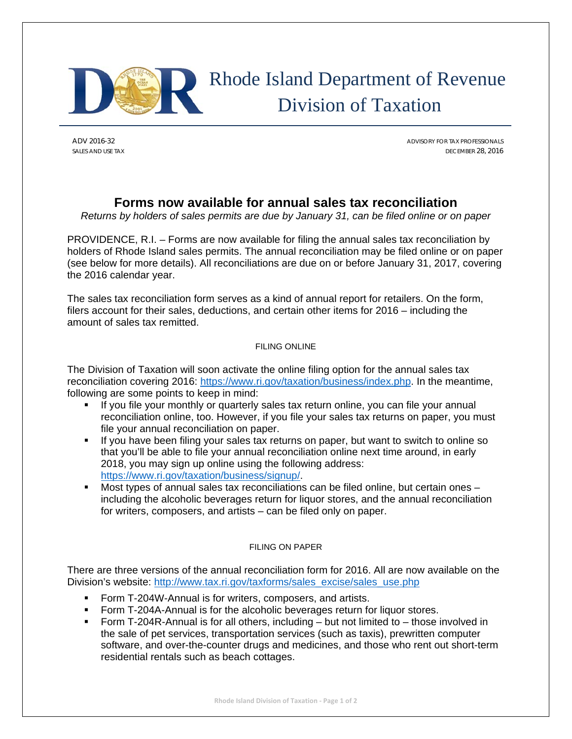

# Rhode Island Department of Revenue Division of Taxation

ADV 2016-32 ADVISORY FOR TAX PROFESSIONALS SALES AND USE TAX DECEMBER 28, 2016

# **Forms now available for annual sales tax reconciliation**

*Returns by holders of sales permits are due by January 31, can be filed online or on paper* 

PROVIDENCE, R.I. – Forms are now available for filing the annual sales tax reconciliation by holders of Rhode Island sales permits. The annual reconciliation may be filed online or on paper (see below for more details). All reconciliations are due on or before January 31, 2017, covering the 2016 calendar year.

The sales tax reconciliation form serves as a kind of annual report for retailers. On the form, filers account for their sales, deductions, and certain other items for 2016 – including the amount of sales tax remitted.

## FILING ONLINE

The Division of Taxation will soon activate the online filing option for the annual sales tax reconciliation covering 2016: https://www.ri.gov/taxation/business/index.php. In the meantime, following are some points to keep in mind:

- If you file your monthly or quarterly sales tax return online, you can file your annual reconciliation online, too. However, if you file your sales tax returns on paper, you must file your annual reconciliation on paper.
- If you have been filing your sales tax returns on paper, but want to switch to online so that you'll be able to file your annual reconciliation online next time around, in early 2018, you may sign up online using the following address: https://www.ri.gov/taxation/business/signup/.
- Most types of annual sales tax reconciliations can be filed online, but certain ones including the alcoholic beverages return for liquor stores, and the annual reconciliation for writers, composers, and artists – can be filed only on paper.

## FILING ON PAPER

There are three versions of the annual reconciliation form for 2016. All are now available on the Division's website: http://www.tax.ri.gov/taxforms/sales\_excise/sales\_use.php

- Form T-204W-Annual is for writers, composers, and artists.
- Form T-204A-Annual is for the alcoholic beverages return for liquor stores.
- Form T-204R-Annual is for all others, including but not limited to those involved in the sale of pet services, transportation services (such as taxis), prewritten computer software, and over-the-counter drugs and medicines, and those who rent out short-term residential rentals such as beach cottages.